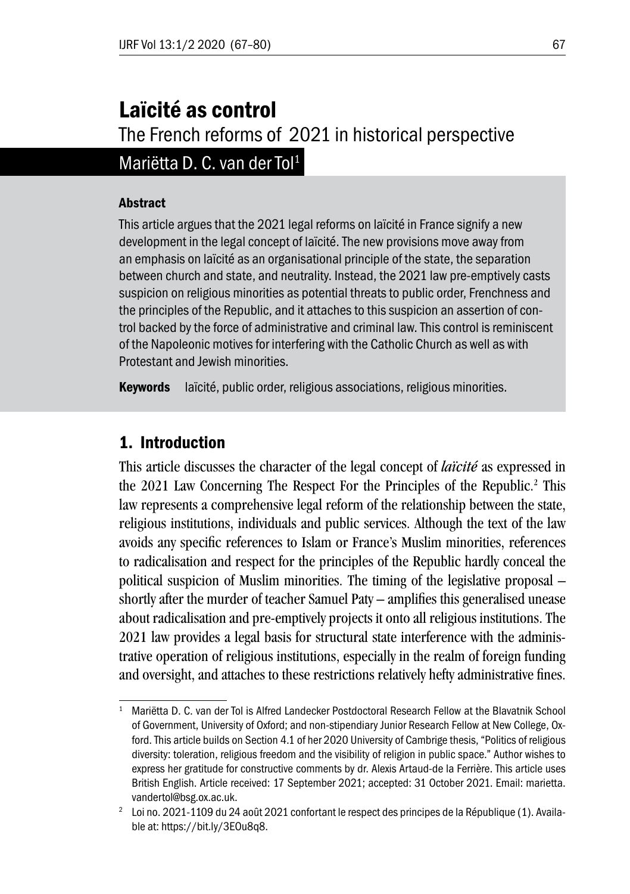# Laïcité as control The French reforms of 2021 in historical perspective Mariëtta D. C. van der Tol<sup>1</sup>

#### Abstract

This article argues that the 2021 legal reforms on laïcité in France signify a new development in the legal concept of laïcité. The new provisions move away from an emphasis on laïcité as an organisational principle of the state, the separation between church and state, and neutrality. Instead, the 2021 law pre-emptively casts suspicion on religious minorities as potential threats to public order, Frenchness and the principles of the Republic, and it attaches to this suspicion an assertion of control backed by the force of administrative and criminal law. This control is reminiscent of the Napoleonic motives for interfering with the Catholic Church as well as with Protestant and Jewish minorities.

Keywords laïcité, public order, religious associations, religious minorities.

# 1. Introduction

This article discusses the character of the legal concept of *laïcité* as expressed in the 2021 Law Concerning The Respect For the Principles of the Republic.<sup>2</sup> This law represents a comprehensive legal reform of the relationship between the state, religious institutions, individuals and public services. Although the text of the law avoids any specific references to Islam or France's Muslim minorities, references to radicalisation and respect for the principles of the Republic hardly conceal the political suspicion of Muslim minorities. The timing of the legislative proposal – shortly after the murder of teacher Samuel Paty – amplifies this generalised unease about radicalisation and pre-emptively projects it onto all religious institutions. The 2021 law provides a legal basis for structural state interference with the administrative operation of religious institutions, especially in the realm of foreign funding and oversight, and attaches to these restrictions relatively hefty administrative fines.

<sup>1</sup> Mariëtta D. C. van der Tol is Alfred Landecker Postdoctoral Research Fellow at the Blavatnik School of Government, University of Oxford; and non-stipendiary Junior Research Fellow at New College, Oxford. This article builds on Section 4.1 of her 2020 University of Cambrige thesis, "Politics of religious diversity: toleration, religious freedom and the visibility of religion in public space." Author wishes to express her gratitude for constructive comments by dr. Alexis Artaud-de la Ferrière. This article uses British English. Article received: 17 September 2021; accepted: 31 October 2021. Email: marietta. vandertol@bsg.ox.ac.uk.

<sup>2</sup> Loi no. 2021-1109 du 24 août 2021 confortant le respect des principes de la République (1). Available at: https://bit.ly/3EOu8q8.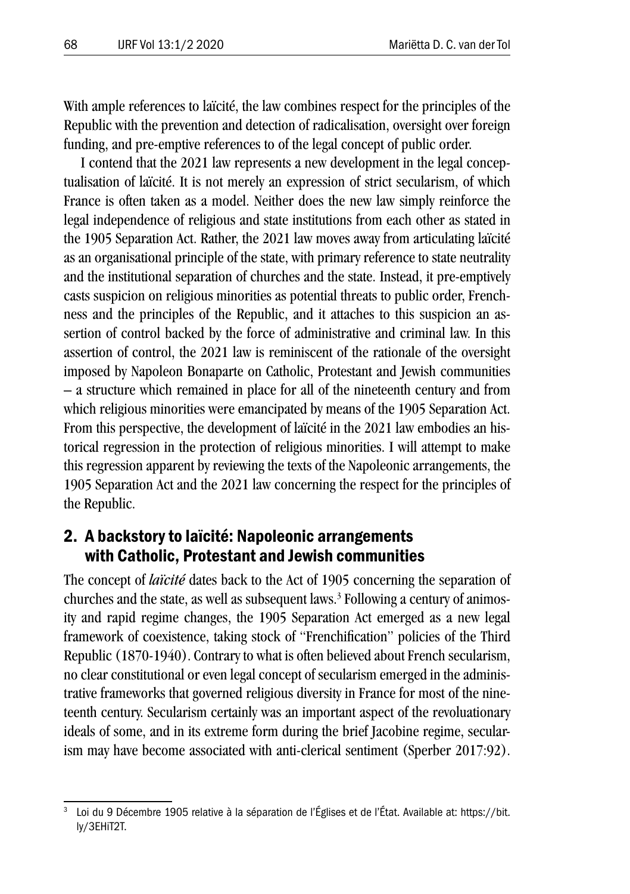With ample references to laïcité, the law combines respect for the principles of the Republic with the prevention and detection of radicalisation, oversight over foreign funding, and pre-emptive references to of the legal concept of public order.

I contend that the 2021 law represents a new development in the legal conceptualisation of laïcité. It is not merely an expression of strict secularism, of which France is often taken as a model. Neither does the new law simply reinforce the legal independence of religious and state institutions from each other as stated in the 1905 Separation Act. Rather, the 2021 law moves away from articulating laïcité as an organisational principle of the state, with primary reference to state neutrality and the institutional separation of churches and the state. Instead, it pre-emptively casts suspicion on religious minorities as potential threats to public order, Frenchness and the principles of the Republic, and it attaches to this suspicion an assertion of control backed by the force of administrative and criminal law. In this assertion of control, the 2021 law is reminiscent of the rationale of the oversight imposed by Napoleon Bonaparte on Catholic, Protestant and Jewish communities – a structure which remained in place for all of the nineteenth century and from which religious minorities were emancipated by means of the 1905 Separation Act. From this perspective, the development of laïcité in the 2021 law embodies an historical regression in the protection of religious minorities. I will attempt to make this regression apparent by reviewing the texts of the Napoleonic arrangements, the 1905 Separation Act and the 2021 law concerning the respect for the principles of the Republic.

### 2. A backstory to laïcité: Napoleonic arrangements with Catholic, Protestant and Jewish communities

The concept of *laïcité* dates back to the Act of 1905 concerning the separation of churches and the state, as well as subsequent laws.<sup>3</sup> Following a century of animosity and rapid regime changes, the 1905 Separation Act emerged as a new legal framework of coexistence, taking stock of "Frenchification" policies of the Third Republic (1870-1940). Contrary to what is often believed about French secularism, no clear constitutional or even legal concept of secularism emerged in the administrative frameworks that governed religious diversity in France for most of the nineteenth century. Secularism certainly was an important aspect of the revoluationary ideals of some, and in its extreme form during the brief Jacobine regime, secularism may have become associated with anti-clerical sentiment (Sperber 2017:92).

Loi du 9 Décembre 1905 relative à la séparation de l'Églises et de l'État. Available at: https://bit. ly/3EHiT2T.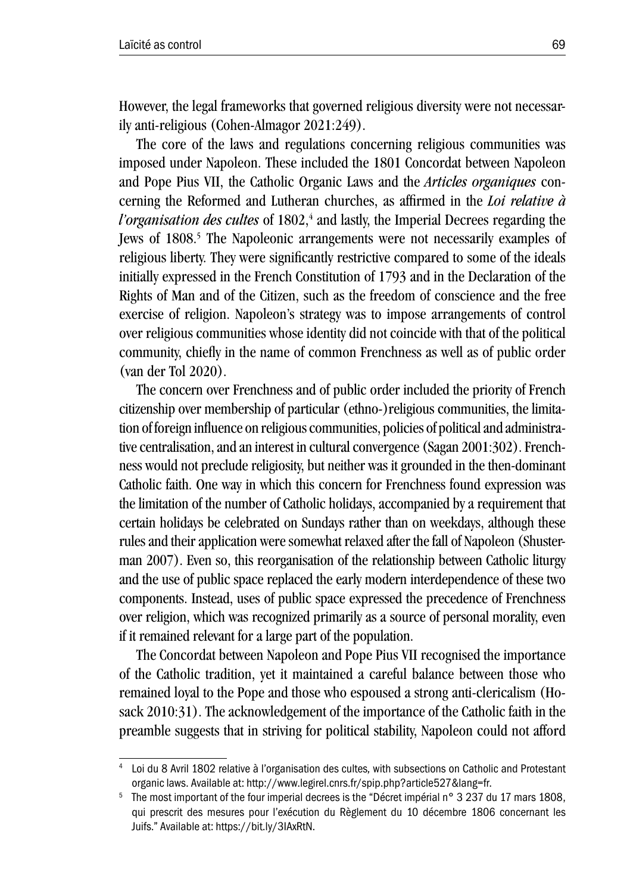However, the legal frameworks that governed religious diversity were not necessarily anti-religious (Cohen-Almagor 2021:249).

The core of the laws and regulations concerning religious communities was imposed under Napoleon. These included the 1801 Concordat between Napoleon and Pope Pius VII, the Catholic Organic Laws and the *Articles organiques* concerning the Reformed and Lutheran churches, as affirmed in the *Loi relative à l'organisation des cultes* of 1802,<sup>4</sup> and lastly, the Imperial Decrees regarding the Jews of 1808.<sup>5</sup> The Napoleonic arrangements were not necessarily examples of religious liberty. They were significantly restrictive compared to some of the ideals initially expressed in the French Constitution of 1793 and in the Declaration of the Rights of Man and of the Citizen, such as the freedom of conscience and the free exercise of religion. Napoleon's strategy was to impose arrangements of control over religious communities whose identity did not coincide with that of the political community, chiefly in the name of common Frenchness as well as of public order (van der Tol 2020).

The concern over Frenchness and of public order included the priority of French citizenship over membership of particular (ethno-)religious communities, the limitation of foreign influence on religious communities, policies of political and administrative centralisation, and an interest in cultural convergence (Sagan 2001:302). Frenchness would not preclude religiosity, but neither was it grounded in the then-dominant Catholic faith. One way in which this concern for Frenchness found expression was the limitation of the number of Catholic holidays, accompanied by a requirement that certain holidays be celebrated on Sundays rather than on weekdays, although these rules and their application were somewhat relaxed after the fall of Napoleon (Shusterman 2007). Even so, this reorganisation of the relationship between Catholic liturgy and the use of public space replaced the early modern interdependence of these two components. Instead, uses of public space expressed the precedence of Frenchness over religion, which was recognized primarily as a source of personal morality, even if it remained relevant for a large part of the population.

The Concordat between Napoleon and Pope Pius VII recognised the importance of the Catholic tradition, yet it maintained a careful balance between those who remained loyal to the Pope and those who espoused a strong anti-clericalism (Hosack 2010:31). The acknowledgement of the importance of the Catholic faith in the preamble suggests that in striving for political stability, Napoleon could not afford

<sup>4</sup> Loi du 8 Avril 1802 relative à l'organisation des cultes*,* with subsections on Catholic and Protestant organic laws. Available at: http://www.legirel.cnrs.fr/spip.php?article527&lang=fr.

<sup>5</sup> The most important of the four imperial decrees is the "Décret impérial n° 3 237 du 17 mars 1808, qui prescrit des mesures pour l'exécution du Règlement du 10 décembre 1806 concernant les Juifs." Available at: https://bit.ly/3IAxRtN.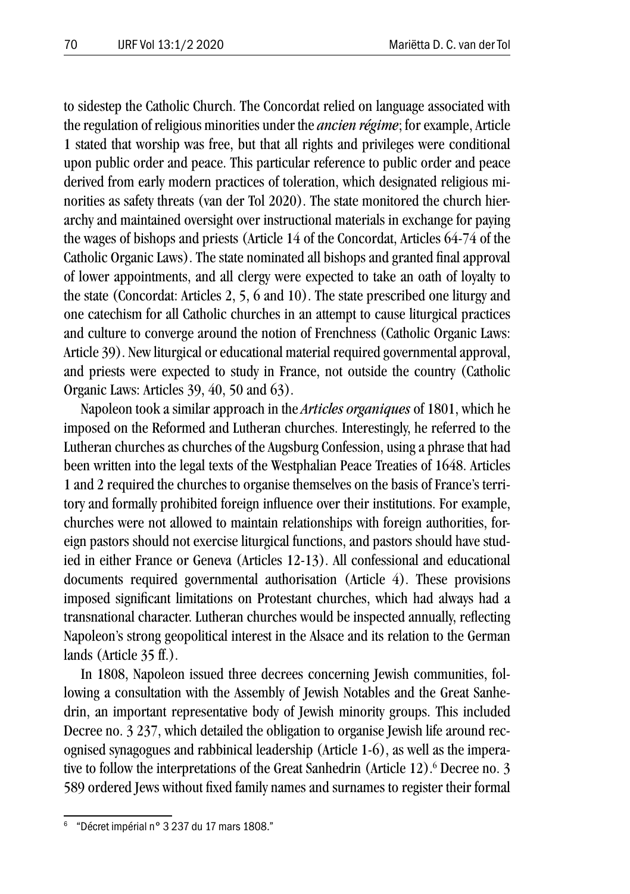to sidestep the Catholic Church. The Concordat relied on language associated with the regulation of religious minorities under the *ancien régime*; for example, Article 1 stated that worship was free, but that all rights and privileges were conditional upon public order and peace. This particular reference to public order and peace derived from early modern practices of toleration, which designated religious minorities as safety threats (van der Tol 2020). The state monitored the church hierarchy and maintained oversight over instructional materials in exchange for paying the wages of bishops and priests (Article 14 of the Concordat, Articles 64-74 of the Catholic Organic Laws). The state nominated all bishops and granted final approval of lower appointments, and all clergy were expected to take an oath of loyalty to the state (Concordat: Articles 2, 5, 6 and 10). The state prescribed one liturgy and one catechism for all Catholic churches in an attempt to cause liturgical practices and culture to converge around the notion of Frenchness (Catholic Organic Laws: Article 39). New liturgical or educational material required governmental approval, and priests were expected to study in France, not outside the country (Catholic Organic Laws: Articles 39, 40, 50 and 63).

Napoleon took a similar approach in the *Articles organiques* of 1801, which he imposed on the Reformed and Lutheran churches. Interestingly, he referred to the Lutheran churches as churches of the Augsburg Confession, using a phrase that had been written into the legal texts of the Westphalian Peace Treaties of 1648. Articles 1 and 2 required the churches to organise themselves on the basis of France's territory and formally prohibited foreign influence over their institutions. For example, churches were not allowed to maintain relationships with foreign authorities, foreign pastors should not exercise liturgical functions, and pastors should have studied in either France or Geneva (Articles 12-13). All confessional and educational documents required governmental authorisation (Article 4). These provisions imposed significant limitations on Protestant churches, which had always had a transnational character. Lutheran churches would be inspected annually, reflecting Napoleon's strong geopolitical interest in the Alsace and its relation to the German lands (Article 35 ff.).

In 1808, Napoleon issued three decrees concerning Jewish communities, following a consultation with the Assembly of Jewish Notables and the Great Sanhedrin, an important representative body of Jewish minority groups. This included Decree no. 3 237, which detailed the obligation to organise Jewish life around recognised synagogues and rabbinical leadership (Article 1-6), as well as the imperative to follow the interpretations of the Great Sanhedrin (Article 12).<sup>6</sup> Decree no. 3 589 ordered Jews without fixed family names and surnames to register their formal

<sup>6</sup> "Décret impérial n° 3 237 du 17 mars 1808."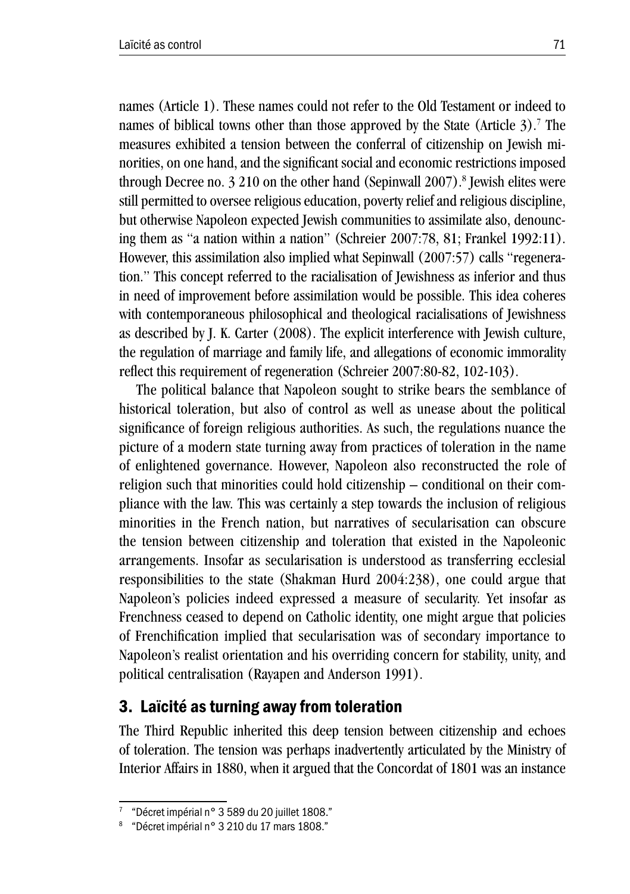names (Article 1). These names could not refer to the Old Testament or indeed to names of biblical towns other than those approved by the State (Article 3).<sup>7</sup> The measures exhibited a tension between the conferral of citizenship on Jewish minorities, on one hand, and the significant social and economic restrictions imposed through Decree no. 3 210 on the other hand (Sepinwall 2007).<sup>8</sup> Jewish elites were still permitted to oversee religious education, poverty relief and religious discipline, but otherwise Napoleon expected Jewish communities to assimilate also, denouncing them as "a nation within a nation" (Schreier 2007:78, 81; Frankel 1992:11). However, this assimilation also implied what Sepinwall (2007:57) calls "regeneration." This concept referred to the racialisation of Jewishness as inferior and thus in need of improvement before assimilation would be possible. This idea coheres with contemporaneous philosophical and theological racialisations of Jewishness as described by J. K. Carter (2008). The explicit interference with Jewish culture, the regulation of marriage and family life, and allegations of economic immorality reflect this requirement of regeneration (Schreier 2007:80-82, 102-103).

The political balance that Napoleon sought to strike bears the semblance of historical toleration, but also of control as well as unease about the political significance of foreign religious authorities. As such, the regulations nuance the picture of a modern state turning away from practices of toleration in the name of enlightened governance. However, Napoleon also reconstructed the role of religion such that minorities could hold citizenship – conditional on their compliance with the law. This was certainly a step towards the inclusion of religious minorities in the French nation, but narratives of secularisation can obscure the tension between citizenship and toleration that existed in the Napoleonic arrangements. Insofar as secularisation is understood as transferring ecclesial responsibilities to the state (Shakman Hurd 2004:238), one could argue that Napoleon's policies indeed expressed a measure of secularity. Yet insofar as Frenchness ceased to depend on Catholic identity, one might argue that policies of Frenchification implied that secularisation was of secondary importance to Napoleon's realist orientation and his overriding concern for stability, unity, and political centralisation (Rayapen and Anderson 1991).

## 3. Laïcité as turning away from toleration

The Third Republic inherited this deep tension between citizenship and echoes of toleration. The tension was perhaps inadvertently articulated by the Ministry of Interior Affairs in 1880, when it argued that the Concordat of 1801 was an instance

<sup>7</sup> "Décret impérial n° 3 589 du 20 juillet 1808."

<sup>8</sup> "Décret impérial n° 3 210 du 17 mars 1808."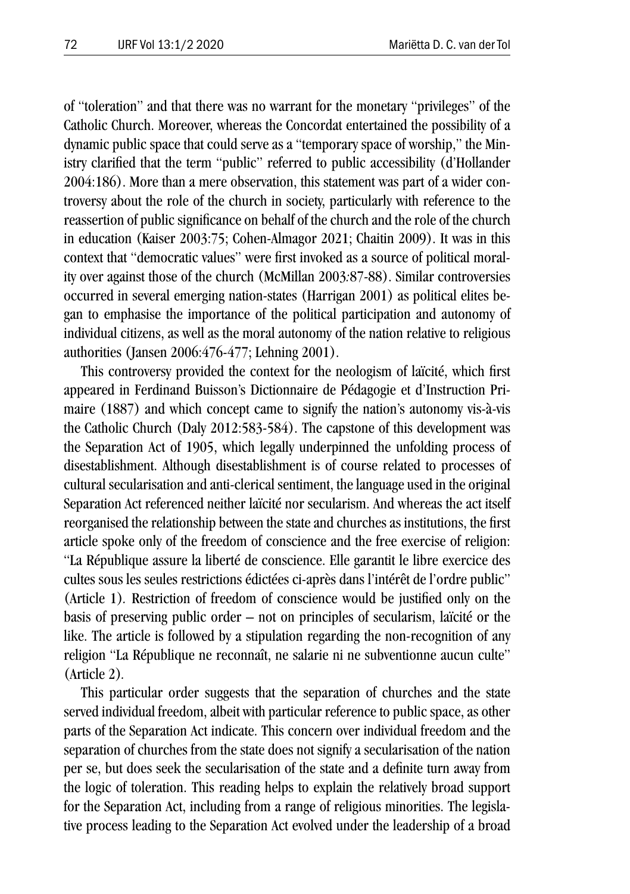of "toleration" and that there was no warrant for the monetary "privileges" of the Catholic Church. Moreover, whereas the Concordat entertained the possibility of a dynamic public space that could serve as a "temporary space of worship," the Ministry clarified that the term "public" referred to public accessibility (d'Hollander 2004:186). More than a mere observation, this statement was part of a wider controversy about the role of the church in society, particularly with reference to the reassertion of public significance on behalf of the church and the role of the church in education (Kaiser 2003:75; Cohen-Almagor 2021; Chaitin 2009). It was in this context that "democratic values" were first invoked as a source of political morality over against those of the church (McMillan 2003*:*87-88). Similar controversies occurred in several emerging nation-states (Harrigan 2001) as political elites began to emphasise the importance of the political participation and autonomy of individual citizens, as well as the moral autonomy of the nation relative to religious authorities (Jansen 2006:476-477; Lehning 2001).

This controversy provided the context for the neologism of laïcité, which first appeared in Ferdinand Buisson's Dictionnaire de Pédagogie et d'Instruction Primaire (1887) and which concept came to signify the nation's autonomy vis-à-vis the Catholic Church (Daly 2012:583-584). The capstone of this development was the Separation Act of 1905, which legally underpinned the unfolding process of disestablishment. Although disestablishment is of course related to processes of cultural secularisation and anti-clerical sentiment, the language used in the original Separation Act referenced neither laïcité nor secularism. And whereas the act itself reorganised the relationship between the state and churches as institutions, the first article spoke only of the freedom of conscience and the free exercise of religion: "La République assure la liberté de conscience. Elle garantit le libre exercice des cultes sous les seules restrictions édictées ci-après dans l'intérêt de l'ordre public" (Article 1)*.* Restriction of freedom of conscience would be justified only on the basis of preserving public order – not on principles of secularism, laïcité or the like. The article is followed by a stipulation regarding the non-recognition of any religion "La République ne reconnaît, ne salarie ni ne subventionne aucun culte" (Article 2)*.*

This particular order suggests that the separation of churches and the state served individual freedom, albeit with particular reference to public space, as other parts of the Separation Act indicate. This concern over individual freedom and the separation of churches from the state does not signify a secularisation of the nation per se, but does seek the secularisation of the state and a definite turn away from the logic of toleration. This reading helps to explain the relatively broad support for the Separation Act, including from a range of religious minorities. The legislative process leading to the Separation Act evolved under the leadership of a broad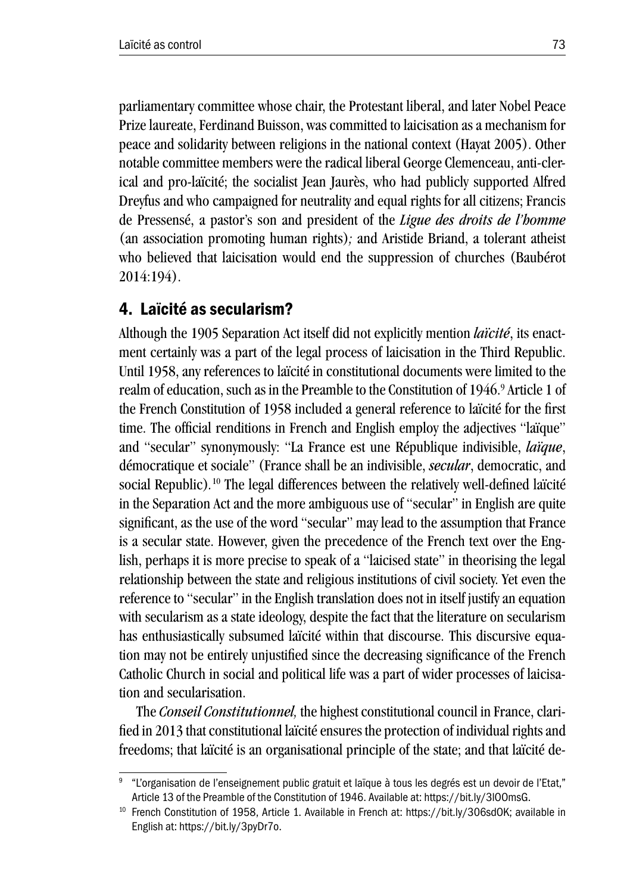parliamentary committee whose chair, the Protestant liberal, and later Nobel Peace Prize laureate, Ferdinand Buisson, was committed to laicisation as a mechanism for peace and solidarity between religions in the national context (Hayat 2005). Other notable committee members were the radical liberal George Clemenceau, anti-clerical and pro-laïcité; the socialist Jean Jaurès, who had publicly supported Alfred Dreyfus and who campaigned for neutrality and equal rights for all citizens; Francis de Pressensé, a pastor's son and president of the *Ligue des droits de l'homme*  (an association promoting human rights)*;* and Aristide Briand, a tolerant atheist who believed that laicisation would end the suppression of churches (Baubérot 2014:194).

# 4. Laïcité as secularism?

Although the 1905 Separation Act itself did not explicitly mention *laïcité*, its enactment certainly was a part of the legal process of laicisation in the Third Republic. Until 1958, any references to laïcité in constitutional documents were limited to the realm of education, such as in the Preamble to the Constitution of 1946.<sup>9</sup> Article 1 of the French Constitution of 1958 included a general reference to laïcité for the first time. The official renditions in French and English employ the adjectives "laïque" and "secular" synonymously: "La France est une République indivisible, *laïque*, démocratique et sociale" (France shall be an indivisible, *secular*, democratic, and social Republic)*.* <sup>10</sup> The legal differences between the relatively well-defined laïcité in the Separation Act and the more ambiguous use of "secular" in English are quite significant, as the use of the word "secular" may lead to the assumption that France is a secular state. However, given the precedence of the French text over the English, perhaps it is more precise to speak of a "laicised state" in theorising the legal relationship between the state and religious institutions of civil society. Yet even the reference to "secular" in the English translation does not in itself justify an equation with secularism as a state ideology, despite the fact that the literature on secularism has enthusiastically subsumed laïcité within that discourse. This discursive equation may not be entirely unjustified since the decreasing significance of the French Catholic Church in social and political life was a part of wider processes of laicisation and secularisation.

The *Conseil Constitutionnel*, the highest constitutional council in France, clarified in 2013 that constitutional laïcité ensures the protection of individual rights and freedoms; that laïcité is an organisational principle of the state; and that laïcité de-

<sup>9</sup> "L'organisation de l'enseignement public gratuit et laïque à tous les degrés est un devoir de l'Etat," Article 13 of the Preamble of the Constitution of 1946. Available at: https://bit.ly/3lOOmsG.

<sup>10</sup> French Constitution of 1958, Article 1. Available in French at: https://bit.ly/306sdOK; available in English at: https://bit.ly/3pyDr7o.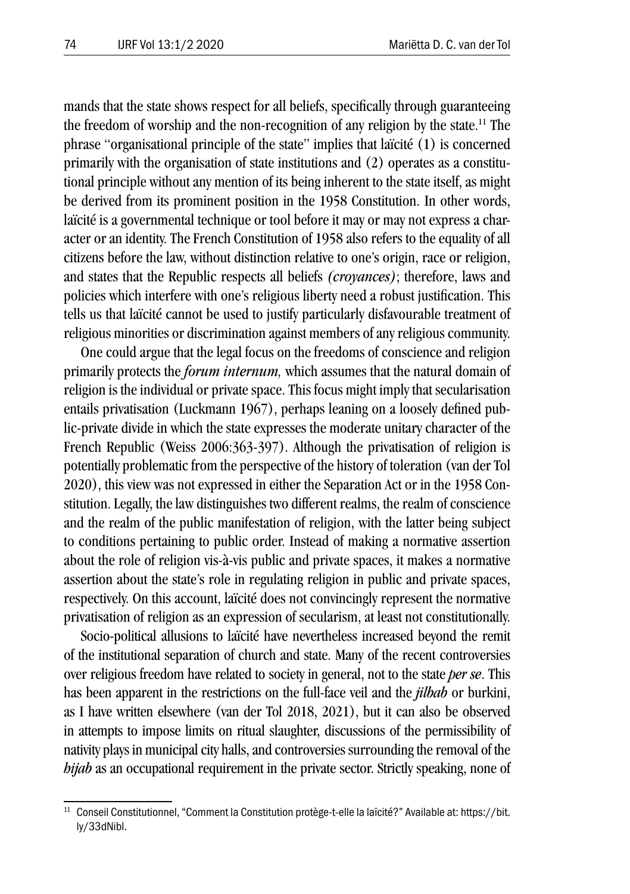mands that the state shows respect for all beliefs, specifically through guaranteeing the freedom of worship and the non-recognition of any religion by the state.11 The phrase "organisational principle of the state" implies that laïcité (1) is concerned primarily with the organisation of state institutions and (2) operates as a constitutional principle without any mention of its being inherent to the state itself, as might be derived from its prominent position in the 1958 Constitution. In other words, laïcité is a governmental technique or tool before it may or may not express a character or an identity. The French Constitution of 1958 also refers to the equality of all citizens before the law, without distinction relative to one's origin, race or religion, and states that the Republic respects all beliefs *(croyances)*; therefore, laws and policies which interfere with one's religious liberty need a robust justification. This tells us that laïcité cannot be used to justify particularly disfavourable treatment of religious minorities or discrimination against members of any religious community.

One could argue that the legal focus on the freedoms of conscience and religion primarily protects the *forum internum,* which assumes that the natural domain of religion is the individual or private space. This focus might imply that secularisation entails privatisation (Luckmann 1967), perhaps leaning on a loosely defined public-private divide in which the state expresses the moderate unitary character of the French Republic (Weiss 2006:363-397). Although the privatisation of religion is potentially problematic from the perspective of the history of toleration (van der Tol 2020), this view was not expressed in either the Separation Act or in the 1958 Constitution. Legally, the law distinguishes two different realms, the realm of conscience and the realm of the public manifestation of religion, with the latter being subject to conditions pertaining to public order. Instead of making a normative assertion about the role of religion vis-à-vis public and private spaces, it makes a normative assertion about the state's role in regulating religion in public and private spaces, respectively. On this account, laïcité does not convincingly represent the normative privatisation of religion as an expression of secularism, at least not constitutionally.

Socio-political allusions to laïcité have nevertheless increased beyond the remit of the institutional separation of church and state. Many of the recent controversies over religious freedom have related to society in general, not to the state *per se*. This has been apparent in the restrictions on the full-face veil and the *jilbab* or burkini, as I have written elsewhere (van der Tol 2018, 2021), but it can also be observed in attempts to impose limits on ritual slaughter, discussions of the permissibility of nativity plays in municipal city halls, and controversies surrounding the removal of the *hijab* as an occupational requirement in the private sector. Strictly speaking, none of

<sup>11</sup> Conseil Constitutionnel, "Comment la Constitution protège-t-elle la laïcité?" Available at: https://bit. ly/33dNibl.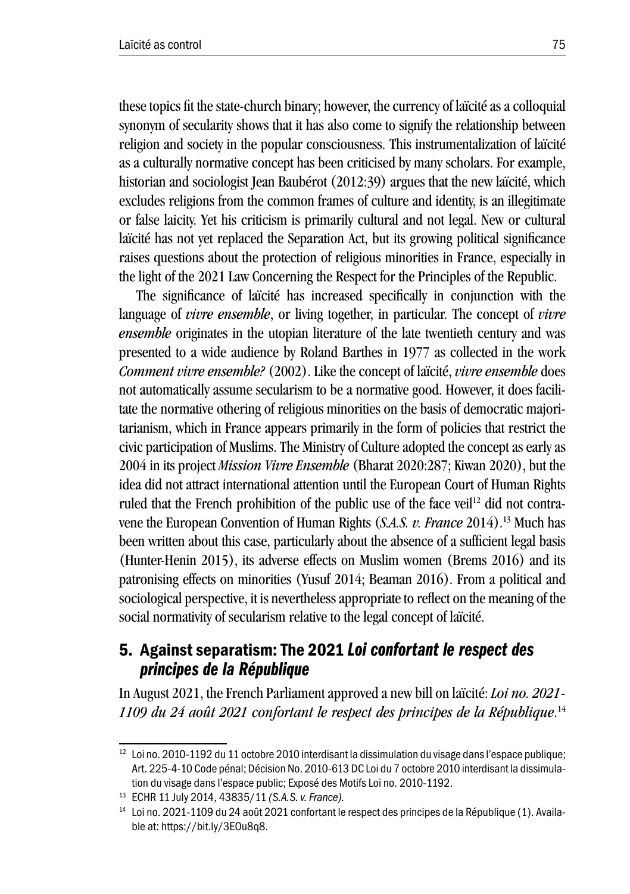these topics fit the state-church binary; however, the currency of laïcité as a colloquial synonym of secularity shows that it has also come to signify the relationship between religion and society in the popular consciousness. This instrumentalization of laïcité as a culturally normative concept has been criticised by many scholars. For example, historian and sociologist Jean Baubérot (2012:39) argues that the new laïcité, which excludes religions from the common frames of culture and identity, is an illegitimate or false laicity. Yet his criticism is primarily cultural and not legal. New or cultural laïcité has not yet replaced the Separation Act, but its growing political significance raises questions about the protection of religious minorities in France, especially in the light of the 2021 Law Concerning the Respect for the Principles of the Republic.

The significance of laïcité has increased specifically in conjunction with the language of *vivre ensemble*, or living together, in particular. The concept of *vivre ensemble* originates in the utopian literature of the late twentieth century and was presented to a wide audience by Roland Barthes in 1977 as collected in the work *Comment vivre ensemble?* (2002). Like the concept of laïcité, *vivre ensemble* does not automatically assume secularism to be a normative good. However, it does facilitate the normative othering of religious minorities on the basis of democratic majoritarianism, which in France appears primarily in the form of policies that restrict the civic participation of Muslims. The Ministry of Culture adopted the concept as early as 2004 in its project *Mission Vivre Ensemble* (Bharat 2020:287; Kiwan 2020), but the idea did not attract international attention until the European Court of Human Rights ruled that the French prohibition of the public use of the face veil<sup>12</sup> did not contravene the European Convention of Human Rights (*S.A.S. v. France* 2014).13 Much has been written about this case, particularly about the absence of a sufficient legal basis (Hunter-Henin 2015), its adverse effects on Muslim women (Brems 2016) and its patronising effects on minorities (Yusuf 2014; Beaman 2016). From a political and sociological perspective, it is nevertheless appropriate to reflect on the meaning of the social normativity of secularism relative to the legal concept of laïcité.

### 5. Against separatism: The 2021 *Loi confortant le respect des principes de la République*

In August 2021, the French Parliament approved a new bill on laïcité: *Loi no. 2021- 1109 du 24 août 2021 confortant le respect des principes de la République*. 14

 $12$  Loi no. 2010-1192 du 11 octobre 2010 interdisant la dissimulation du visage dans l'espace publique; Art. 225-4-10 Code pénal; Décision No. 2010-613 DC Loi du 7 octobre 2010 interdisant la dissimulation du visage dans l'espace public; Exposé des Motifs Loi no. 2010-1192.

<sup>13</sup> ECHR 11 July 2014, 43835/11 *(S.A.S. v. France).*

<sup>14</sup> Loi no. 2021-1109 du 24 août 2021 confortant le respect des principes de la République (1). Available at: https://bit.ly/3EOu8q8.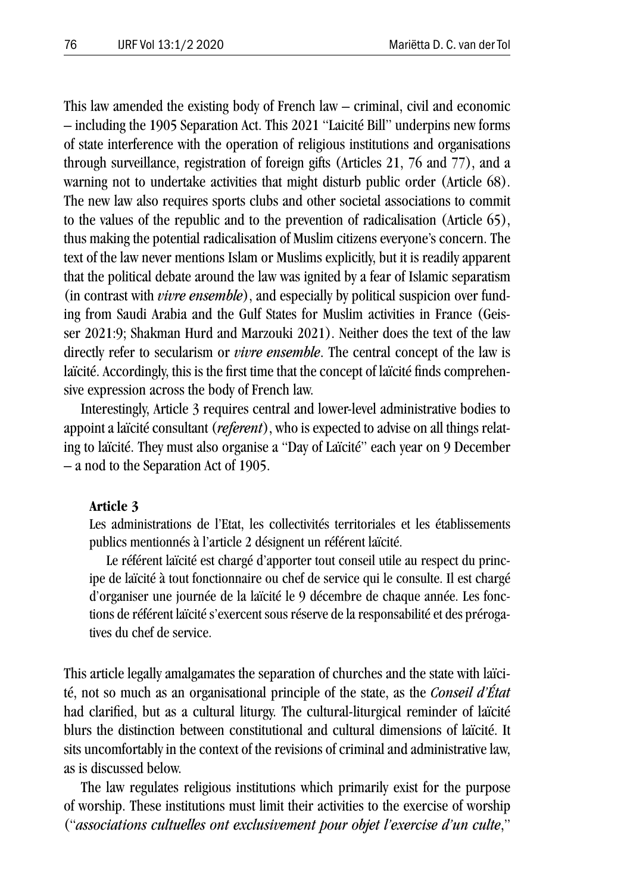This law amended the existing body of French law – criminal, civil and economic – including the 1905 Separation Act. This 2021 "Laicité Bill" underpins new forms of state interference with the operation of religious institutions and organisations through surveillance, registration of foreign gifts (Articles 21, 76 and 77), and a warning not to undertake activities that might disturb public order (Article 68). The new law also requires sports clubs and other societal associations to commit to the values of the republic and to the prevention of radicalisation (Article 65), thus making the potential radicalisation of Muslim citizens everyone's concern. The text of the law never mentions Islam or Muslims explicitly, but it is readily apparent that the political debate around the law was ignited by a fear of Islamic separatism (in contrast with *vivre ensemble*), and especially by political suspicion over funding from Saudi Arabia and the Gulf States for Muslim activities in France (Geisser 2021:9; Shakman Hurd and Marzouki 2021). Neither does the text of the law directly refer to secularism or *vivre ensemble*. The central concept of the law is laïcité. Accordingly, this is the first time that the concept of laïcité finds comprehensive expression across the body of French law.

Interestingly, Article 3 requires central and lower-level administrative bodies to appoint a laïcité consultant (*referent*), who is expected to advise on all things relating to laïcité. They must also organise a "Day of Laïcité" each year on 9 December – a nod to the Separation Act of 1905.

#### **Article 3**

Les administrations de l'Etat, les collectivités territoriales et les établissements publics mentionnés à l'article 2 désignent un référent laïcité.

Le référent laïcité est chargé d'apporter tout conseil utile au respect du principe de laïcité à tout fonctionnaire ou chef de service qui le consulte. Il est chargé d'organiser une journée de la laïcité le 9 décembre de chaque année. Les fonctions de référent laïcité s'exercent sous réserve de la responsabilité et des prérogatives du chef de service.

This article legally amalgamates the separation of churches and the state with laïcité, not so much as an organisational principle of the state, as the *Conseil d'État* had clarified, but as a cultural liturgy. The cultural-liturgical reminder of laïcité blurs the distinction between constitutional and cultural dimensions of laïcité. It sits uncomfortably in the context of the revisions of criminal and administrative law, as is discussed below.

The law regulates religious institutions which primarily exist for the purpose of worship. These institutions must limit their activities to the exercise of worship ("*associations cultuelles ont exclusivement pour objet l'exercise d'un culte*,"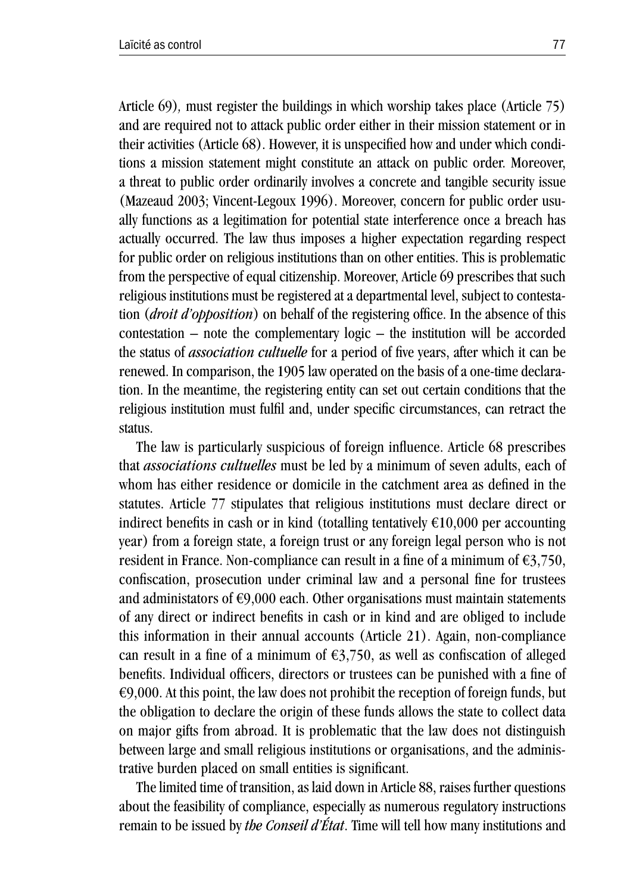Article 69)*,* must register the buildings in which worship takes place (Article 75) and are required not to attack public order either in their mission statement or in their activities (Article 68). However, it is unspecified how and under which conditions a mission statement might constitute an attack on public order. Moreover, a threat to public order ordinarily involves a concrete and tangible security issue (Mazeaud 2003; Vincent-Legoux 1996). Moreover, concern for public order usually functions as a legitimation for potential state interference once a breach has actually occurred. The law thus imposes a higher expectation regarding respect for public order on religious institutions than on other entities. This is problematic from the perspective of equal citizenship. Moreover, Article 69 prescribes that such religious institutions must be registered at a departmental level, subject to contestation (*droit d'opposition*) on behalf of the registering office. In the absence of this contestation – note the complementary logic – the institution will be accorded the status of *association cultuelle* for a period of five years, after which it can be renewed. In comparison, the 1905 law operated on the basis of a one-time declaration. In the meantime, the registering entity can set out certain conditions that the religious institution must fulfil and, under specific circumstances, can retract the status.

The law is particularly suspicious of foreign influence. Article 68 prescribes that *associations cultuelles* must be led by a minimum of seven adults, each of whom has either residence or domicile in the catchment area as defined in the statutes. Article 77 stipulates that religious institutions must declare direct or indirect benefits in cash or in kind (totalling tentatively  $\epsilon$ 10,000 per accounting year) from a foreign state, a foreign trust or any foreign legal person who is not resident in France. Non-compliance can result in a fine of a minimum of  $\epsilon$ 3,750, confiscation, prosecution under criminal law and a personal fine for trustees and administators of  $\epsilon$ 9,000 each. Other organisations must maintain statements of any direct or indirect benefits in cash or in kind and are obliged to include this information in their annual accounts (Article 21). Again, non-compliance can result in a fine of a minimum of  $\epsilon$ 3,750, as well as confiscation of alleged benefits. Individual officers, directors or trustees can be punished with a fine of  $\epsilon$ 9,000. At this point, the law does not prohibit the reception of foreign funds, but the obligation to declare the origin of these funds allows the state to collect data on major gifts from abroad. It is problematic that the law does not distinguish between large and small religious institutions or organisations, and the administrative burden placed on small entities is significant.

The limited time of transition, as laid down in Article 88, raises further questions about the feasibility of compliance, especially as numerous regulatory instructions remain to be issued by *the Conseil d'État*. Time will tell how many institutions and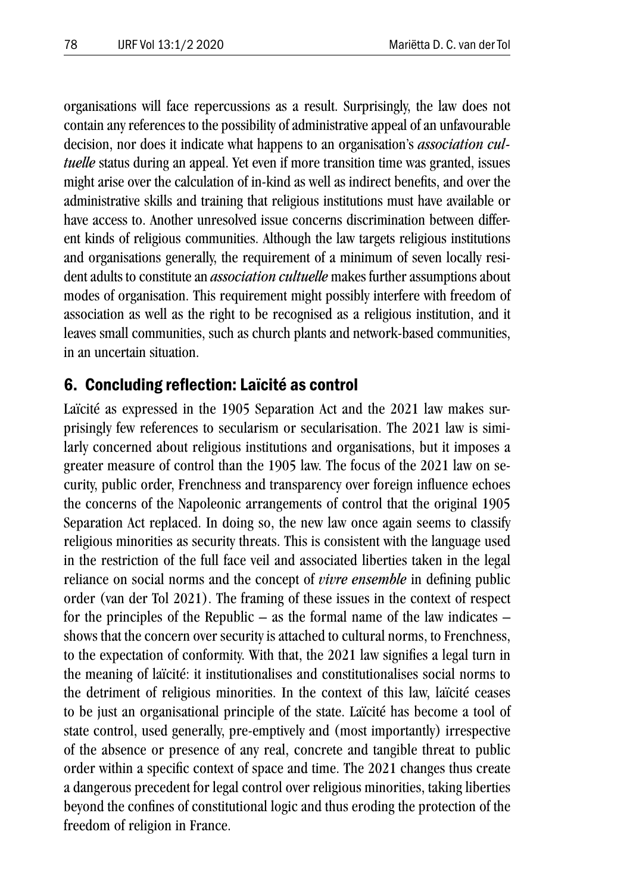organisations will face repercussions as a result. Surprisingly, the law does not contain any references to the possibility of administrative appeal of an unfavourable decision, nor does it indicate what happens to an organisation's *association cultuelle* status during an appeal. Yet even if more transition time was granted, issues might arise over the calculation of in-kind as well as indirect benefits, and over the administrative skills and training that religious institutions must have available or have access to. Another unresolved issue concerns discrimination between different kinds of religious communities. Although the law targets religious institutions and organisations generally, the requirement of a minimum of seven locally resident adults to constitute an *association cultuelle* makes further assumptions about modes of organisation. This requirement might possibly interfere with freedom of association as well as the right to be recognised as a religious institution, and it leaves small communities, such as church plants and network-based communities, in an uncertain situation.

# 6. Concluding reflection: Laïcité as control

Laïcité as expressed in the 1905 Separation Act and the 2021 law makes surprisingly few references to secularism or secularisation. The 2021 law is similarly concerned about religious institutions and organisations, but it imposes a greater measure of control than the 1905 law. The focus of the 2021 law on security, public order, Frenchness and transparency over foreign influence echoes the concerns of the Napoleonic arrangements of control that the original 1905 Separation Act replaced. In doing so, the new law once again seems to classify religious minorities as security threats. This is consistent with the language used in the restriction of the full face veil and associated liberties taken in the legal reliance on social norms and the concept of *vivre ensemble* in defining public order (van der Tol 2021). The framing of these issues in the context of respect for the principles of the Republic – as the formal name of the law indicates – shows that the concern over security is attached to cultural norms, to Frenchness, to the expectation of conformity. With that, the 2021 law signifies a legal turn in the meaning of laïcité: it institutionalises and constitutionalises social norms to the detriment of religious minorities. In the context of this law, laïcité ceases to be just an organisational principle of the state. Laïcité has become a tool of state control, used generally, pre-emptively and (most importantly) irrespective of the absence or presence of any real, concrete and tangible threat to public order within a specific context of space and time. The 2021 changes thus create a dangerous precedent for legal control over religious minorities, taking liberties beyond the confines of constitutional logic and thus eroding the protection of the freedom of religion in France.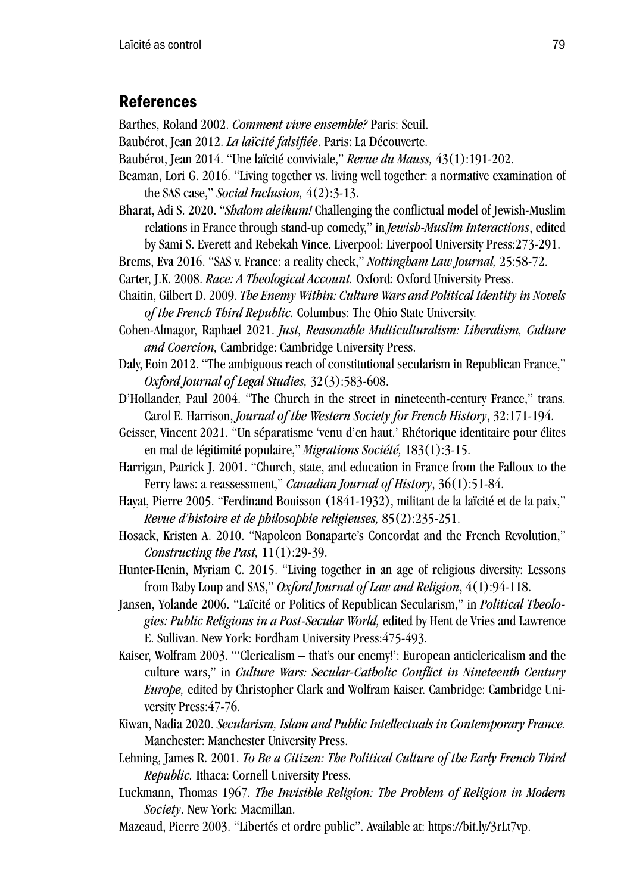#### References

Barthes, Roland 2002. *Comment vivre ensemble?* Paris: Seuil.

Baubérot, Jean 2012. *La laïcité falsifiée*. Paris: La Découverte.

Baubérot, Jean 2014. "Une laïcité conviviale," *Revue du Mauss,* 43(1):191-202.

Beaman, Lori G. 2016. "Living together vs. living well together: a normative examination of the SAS case," *Social Inclusion,* 4(2):3-13.

Bharat, Adi S. 2020. "*Shalom aleikum!* Challenging the conflictual model of Jewish-Muslim relations in France through stand-up comedy," in *Jewish-Muslim Interactions*, edited by Sami S. Everett and Rebekah Vince. Liverpool: Liverpool University Press:273-291.

Brems, Eva 2016. "SAS v. France: a reality check," *Nottingham Law Journal,* 25:58-72.

Carter, J.K. 2008. *Race: A Theological Account.* Oxford: Oxford University Press.

Chaitin, Gilbert D. 2009. *The Enemy Within: Culture Wars and Political Identity in Novels of the French Third Republic.* Columbus: The Ohio State University.

Cohen-Almagor, Raphael 2021. *Just, Reasonable Multiculturalism: Liberalism, Culture and Coercion,* Cambridge: Cambridge University Press.

Daly, Eoin 2012. "The ambiguous reach of constitutional secularism in Republican France," *Oxford Journal of Legal Studies,* 32(3):583-608.

D'Hollander, Paul 2004. "The Church in the street in nineteenth-century France," trans. Carol E. Harrison, *Journal of the Western Society for French History*, 32:171-194.

Geisser, Vincent 2021. "Un séparatisme 'venu d'en haut.' Rhétorique identitaire pour élites en mal de légitimité populaire," *Migrations Société,* 183(1):3-15.

Harrigan, Patrick J. 2001. "Church, state, and education in France from the Falloux to the Ferry laws: a reassessment," *Canadian Journal of History*, 36(1):51-84.

Hayat, Pierre 2005. "Ferdinand Bouisson (1841-1932), militant de la laïcité et de la paix," *Revue d'histoire et de philosophie religieuses,* 85(2):235-251.

Hosack, Kristen A. 2010. "Napoleon Bonaparte's Concordat and the French Revolution," *Constructing the Past,* 11(1):29-39.

Hunter-Henin, Myriam C. 2015. "Living together in an age of religious diversity: Lessons from Baby Loup and SAS," *Oxford Journal of Law and Religion*, 4(1):94-118.

- Jansen, Yolande 2006. "Laïcité or Politics of Republican Secularism," in *Political Theologies: Public Religions in a Post-Secular World,* edited by Hent de Vries and Lawrence E. Sullivan. New York: Fordham University Press:475-493.
- Kaiser, Wolfram 2003. "'Clericalism that's our enemy!': European anticlericalism and the culture wars," in *Culture Wars: Secular-Catholic Conflict in Nineteenth Century Europe,* edited by Christopher Clark and Wolfram Kaiser. Cambridge: Cambridge University Press:47-76.
- Kiwan, Nadia 2020. *Secularism, Islam and Public Intellectuals in Contemporary France.*  Manchester: Manchester University Press.
- Lehning, James R. 2001. *To Be a Citizen: The Political Culture of the Early French Third Republic.* Ithaca: Cornell University Press.
- Luckmann, Thomas 1967. *The Invisible Religion: The Problem of Religion in Modern Society*. New York: Macmillan.
- Mazeaud, Pierre 2003. "Libertés et ordre public". Available at: https://bit.ly/3rLt7vp.